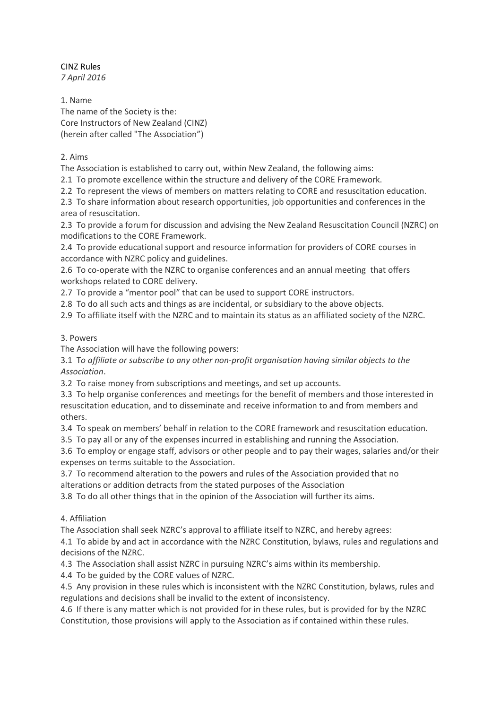CINZ Rules *7 April 2016*

1. Name The name of the Society is the: Core Instructors of New Zealand (CINZ) (herein after called "The Association")

### 2. Aims

The Association is established to carry out, within New Zealand, the following aims:

2.1 To promote excellence within the structure and delivery of the CORE Framework.

2.2 To represent the views of members on matters relating to CORE and resuscitation education.

2.3 To share information about research opportunities, job opportunities and conferences in the area of resuscitation.

2.3 To provide a forum for discussion and advising the New Zealand Resuscitation Council (NZRC) on modifications to the CORE Framework.

2.4 To provide educational support and resource information for providers of CORE courses in accordance with NZRC policy and guidelines.

2.6 To co-operate with the NZRC to organise conferences and an annual meeting that offers workshops related to CORE delivery.

2.7 To provide a "mentor pool" that can be used to support CORE instructors.

2.8 To do all such acts and things as are incidental, or subsidiary to the above objects.

2.9 To affiliate itself with the NZRC and to maintain its status as an affiliated society of the NZRC.

### 3. Powers

The Association will have the following powers:

3.1 T*o affiliate or subscribe to any other non-profit organisation having similar objects to the Association*.

3.2 To raise money from subscriptions and meetings, and set up accounts.

3.3 To help organise conferences and meetings for the benefit of members and those interested in resuscitation education, and to disseminate and receive information to and from members and others.

3.4 To speak on members' behalf in relation to the CORE framework and resuscitation education.

3.5 To pay all or any of the expenses incurred in establishing and running the Association.

3.6 To employ or engage staff, advisors or other people and to pay their wages, salaries and/or their expenses on terms suitable to the Association.

3.7 To recommend alteration to the powers and rules of the Association provided that no

alterations or addition detracts from the stated purposes of the Association

3.8 To do all other things that in the opinion of the Association will further its aims.

### 4. Affiliation

The Association shall seek NZRC's approval to affiliate itself to NZRC, and hereby agrees:

4.1 To abide by and act in accordance with the NZRC Constitution, bylaws, rules and regulations and decisions of the NZRC.

4.3 The Association shall assist NZRC in pursuing NZRC's aims within its membership.

4.4 To be guided by the CORE values of NZRC.

4.5 Any provision in these rules which is inconsistent with the NZRC Constitution, bylaws, rules and regulations and decisions shall be invalid to the extent of inconsistency.

4.6 If there is any matter which is not provided for in these rules, but is provided for by the NZRC Constitution, those provisions will apply to the Association as if contained within these rules.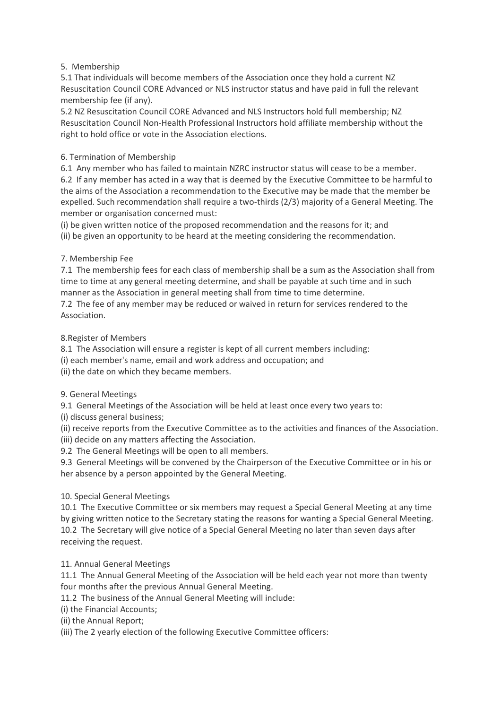# 5. Membership

5.1 That individuals will become members of the Association once they hold a current NZ Resuscitation Council CORE Advanced or NLS instructor status and have paid in full the relevant membership fee (if any).

5.2 NZ Resuscitation Council CORE Advanced and NLS Instructors hold full membership; NZ Resuscitation Council Non-Health Professional Instructors hold affiliate membership without the right to hold office or vote in the Association elections.

# 6. Termination of Membership

6.1 Any member who has failed to maintain NZRC instructor status will cease to be a member. 6.2 If any member has acted in a way that is deemed by the Executive Committee to be harmful to the aims of the Association a recommendation to the Executive may be made that the member be expelled. Such recommendation shall require a two-thirds (2/3) majority of a General Meeting. The member or organisation concerned must:

(i) be given written notice of the proposed recommendation and the reasons for it; and (ii) be given an opportunity to be heard at the meeting considering the recommendation.

# 7. Membership Fee

7.1 The membership fees for each class of membership shall be a sum as the Association shall from time to time at any general meeting determine, and shall be payable at such time and in such manner as the Association in general meeting shall from time to time determine.

7.2 The fee of any member may be reduced or waived in return for services rendered to the Association.

### 8.Register of Members

8.1 The Association will ensure a register is kept of all current members including:

(i) each member's name, email and work address and occupation; and

(ii) the date on which they became members.

### 9. General Meetings

9.1 General Meetings of the Association will be held at least once every two years to:

(i) discuss general business;

(ii) receive reports from the Executive Committee as to the activities and finances of the Association. (iii) decide on any matters affecting the Association.

9.2 The General Meetings will be open to all members.

9.3 General Meetings will be convened by the Chairperson of the Executive Committee or in his or her absence by a person appointed by the General Meeting.

### 10. Special General Meetings

10.1 The Executive Committee or six members may request a Special General Meeting at any time by giving written notice to the Secretary stating the reasons for wanting a Special General Meeting. 10.2 The Secretary will give notice of a Special General Meeting no later than seven days after receiving the request.

### 11. Annual General Meetings

11.1 The Annual General Meeting of the Association will be held each year not more than twenty four months after the previous Annual General Meeting.

11.2 The business of the Annual General Meeting will include:

(i) the Financial Accounts;

(ii) the Annual Report;

(iii) The 2 yearly election of the following Executive Committee officers: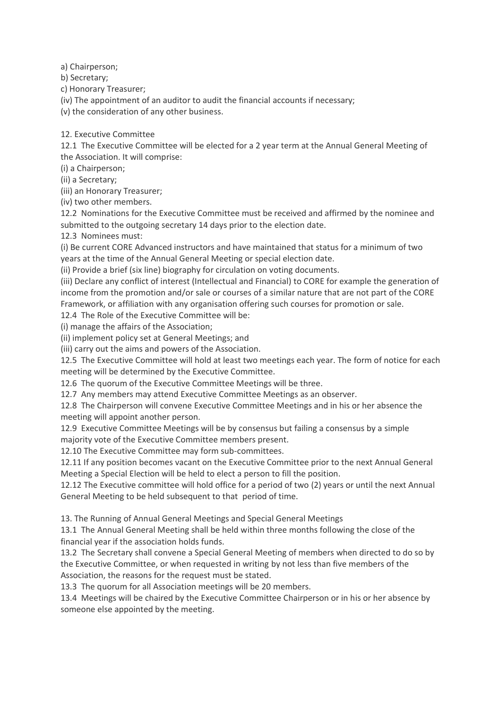a) Chairperson;

b) Secretary;

c) Honorary Treasurer;

(iv) The appointment of an auditor to audit the financial accounts if necessary;

(v) the consideration of any other business.

12. Executive Committee

12.1 The Executive Committee will be elected for a 2 year term at the Annual General Meeting of the Association. It will comprise:

(i) a Chairperson;

(ii) a Secretary;

(iii) an Honorary Treasurer;

(iv) two other members.

12.2 Nominations for the Executive Committee must be received and affirmed by the nominee and submitted to the outgoing secretary 14 days prior to the election date.

12.3 Nominees must:

(i) Be current CORE Advanced instructors and have maintained that status for a minimum of two years at the time of the Annual General Meeting or special election date.

(ii) Provide a brief (six line) biography for circulation on voting documents.

(iii) Declare any conflict of interest (Intellectual and Financial) to CORE for example the generation of income from the promotion and/or sale or courses of a similar nature that are not part of the CORE Framework, or affiliation with any organisation offering such courses for promotion or sale.

12.4 The Role of the Executive Committee will be:

(i) manage the affairs of the Association;

(ii) implement policy set at General Meetings; and

(iii) carry out the aims and powers of the Association.

12.5 The Executive Committee will hold at least two meetings each year. The form of notice for each meeting will be determined by the Executive Committee.

12.6 The quorum of the Executive Committee Meetings will be three.

12.7 Any members may attend Executive Committee Meetings as an observer.

12.8 The Chairperson will convene Executive Committee Meetings and in his or her absence the meeting will appoint another person.

12.9 Executive Committee Meetings will be by consensus but failing a consensus by a simple majority vote of the Executive Committee members present*.*

12.10 The Executive Committee may form sub-committees.

12.11 If any position becomes vacant on the Executive Committee prior to the next Annual General Meeting a Special Election will be held to elect a person to fill the position.

12.12 The Executive committee will hold office for a period of two (2) years or until the next Annual General Meeting to be held subsequent to that period of time.

13. The Running of Annual General Meetings and Special General Meetings

13.1 The Annual General Meeting shall be held within three months following the close of the financial year if the association holds funds.

13.2 The Secretary shall convene a Special General Meeting of members when directed to do so by the Executive Committee, or when requested in writing by not less than five members of the Association, the reasons for the request must be stated.

13.3 The quorum for all Association meetings will be 20 members.

13.4 Meetings will be chaired by the Executive Committee Chairperson or in his or her absence by someone else appointed by the meeting.